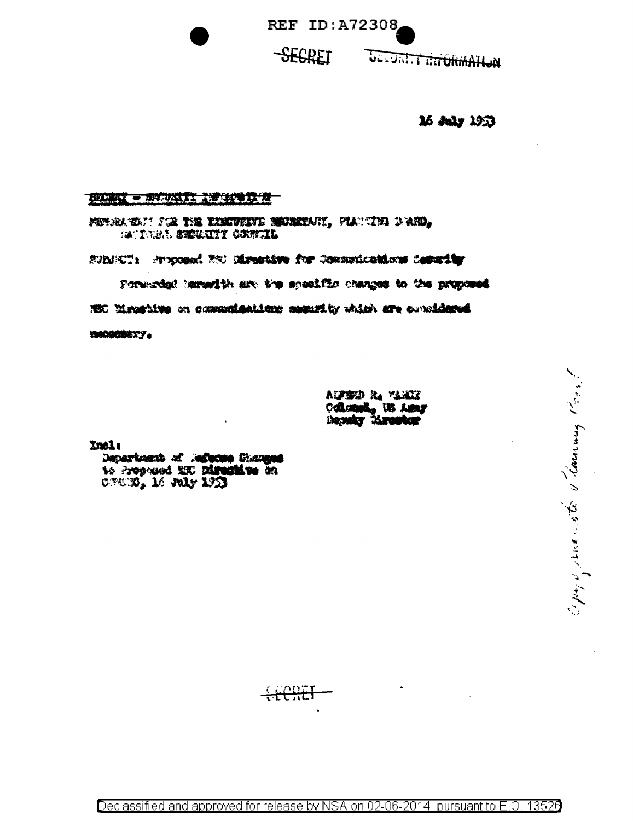**REF ID: A72308** 

## **SEGRET**

**WOHAMMOTH THILL-OG** 

16 July 1953

Open personal de Camany More

## **NUMBER - SPECIAL PROPERTY AT**

Medra to it for the kinevisity memorant, planning down, SACTORAL SECURITY CONTENI

SPANCT: Process! NO Directive for Communications Constitut

Porterdal leredith art the specific changes to the proposed

NEC Eirostive on communications security which are considered

10000008377

aufbrid R. Marke Colomnie, US Assy Domky Mrootor

**Incl:** 

Department of Jacque Guanges to Prophoed MX. Digestion on CNUEL, 16 July 1953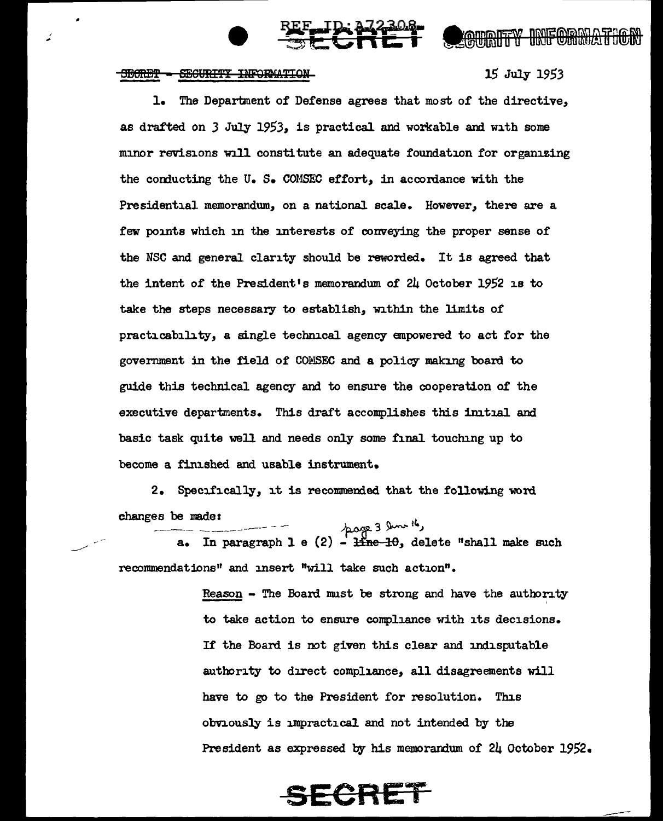## SEGURITY INFORMATION **SECRET**

, ..

15 July *1953* 

**OGUALTY INFORM** 

l. The Department of Defense agrees that most of the directive, as drafted on 3 July 1953, is practical and workable and with some minor revisions will constitute an adequate foundation for organizing the conducting the U.S. COMSEC effort, in accordance with the Presidential memorandum, on a national scale. However, there are a few points which in the interests of conveying the proper sense of the NSC and general clarity should be reworded. It is agreed that the intent *of* the President's memorandum of 24 October 1952 is to take the steps necessary to establish, within the limits of practicability, a single technical agency empowered to act for the government in the field of COMSEC and a policy making board to guide this technical agency and to ensure the cooperation of the executive departments. This draft accomplishes this initial and basic task quite well and needs only some final touching up to become a fim.shed and usable instrument.

 $\frac{1}{2}$ 

2. Specifically, it is recommended that the following word

changes be made:<br>  $\overline{a}$ . In paragraph 1 e (2) - <del>line 10</del>, delete "shall make such recommendations" and insert "will take such action".

> $Reason - The Board must be strong and have the authority$ ' to take action to ensure compliance with its decisions. If the Board is not given this clear and indisputable authority to direct compliance, all disagreements will have to go to the President for resolution. This obviously is impractical and not intended by the President as expressed by his memorandum of 24 October 1952.

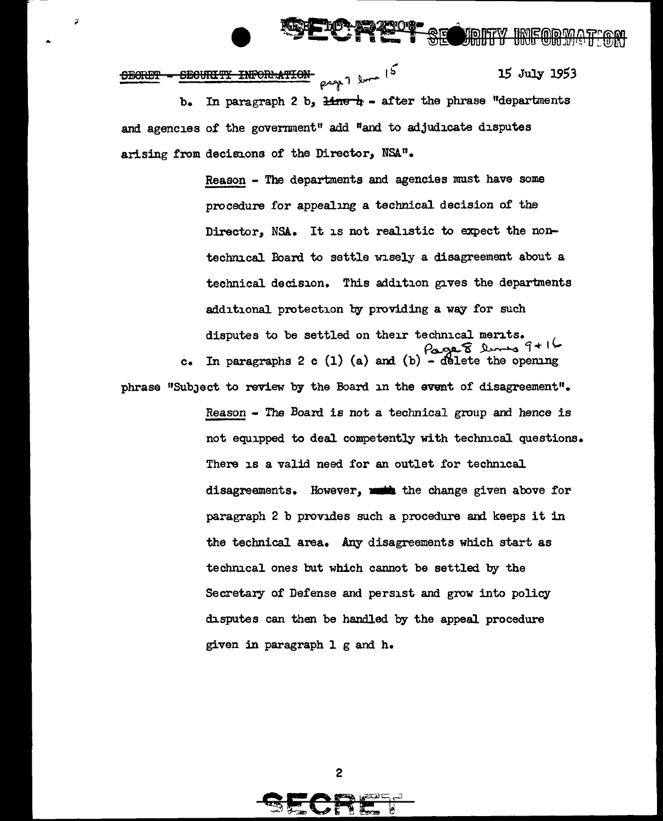<u>voitev</u>

INFORMATION page 7 loves 15 15 July 1953 **SECRET** <del>SECURITY</del> In paragraph 2 b,  $\frac{1}{2}$  = after the phrase "departments  $b_{\bullet}$ and agencies of the government" add "and to adjudicate disputes arising from decisions of the Director, NSA".

Ĵ

Reason - The departments and agencies must have some procedure for appealing a technical decision of the Director, NSA. It is not realistic to expect the nontechnical Board to settle wisely a disagreement about a technical decision. This addition gives the departments additional protection by providing a way for such disputes to be settled on their technical merits. In paragraphs 2 c (1) (a) and (b) - delete the opening  $\mathbf{c}$  . phrase "Subject to review by the Board in the event of disagreement". Reason - The Board is not a technical group and hence is not equipped to deal competently with technical questions. There is a valid need for an outlet for technical disagreements. However, with the change given above for paragraph 2 b provides such a procedure and keeps it in the technical area. Any disagreements which start as technical ones but which cannot be settled by the Secretary of Defense and persist and grow into policy disputes can then be handled by the appeal procedure given in paragraph 1 g and h.

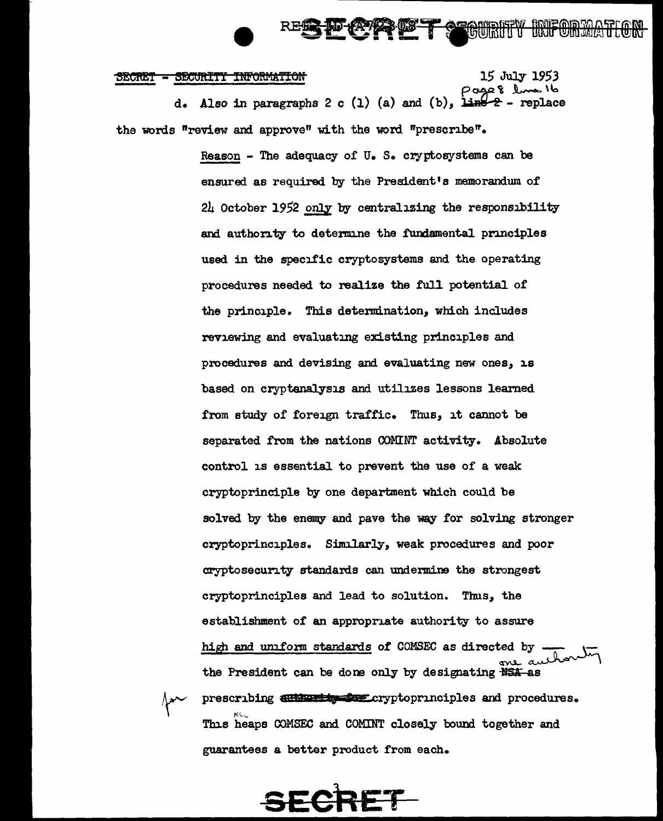**STOURITY** 

SECRET - SECURITY INFORMATION 15 July 1953<br>dl *t* and it defines the page 8 lines it d. Also in paragraphs 2 c (1) (a) and (b),  $\lim_{t \to \infty}$  - replace the words "review and approve" with the word "prescnbe"•

> Reason - The adequacy of  $U_{\bullet}$  S. cryptosystems can be ensured as required by the President's memorandum of  $2\mu$  October 1952 only by centralizing the responsibility and authority to determine the fundamental principles used in the specific cryptosystems and the operating procedures needed to realize the full potential of the principle. This determination, which includes reviewing and evaluating existing principles and procedures and devising and evaluating new ones, is based on cryptanalysis and utilizes lessons learned from study of foreign traffic. Thus, it cannot be separated from the nations OOMINT activity. Absolute control is essential to prevent the use of a weak cryptoprinciple by one department which could be solved by the enemy and pave the way for solving stronger cryptoprinciples. Similarly, weak procedures and poor cryptosecunty standards can undermine the strongest cryptoprinciples and lead to solution. Thus, the establishment of an appropriate authority to assure high and uniform standards of COMSEC as directed by the President can be done only by designating  $\frac{1}{154}$ -as prescribing and the street cryptoprinciples and procedures. This heaps COMSEC and COMINT closely bound together and guarantees a better product from each.

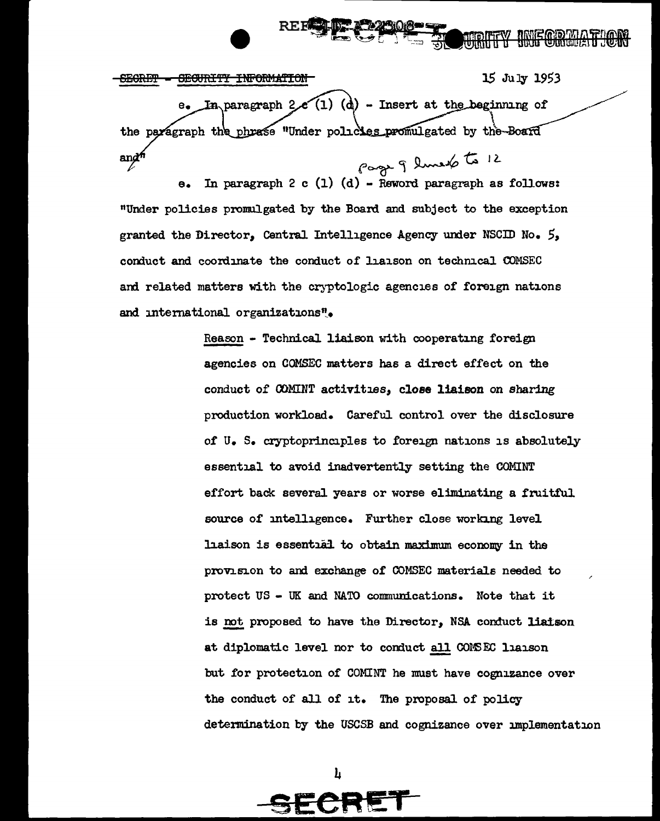15 July 1953 <del>INFORMATION</del> <del>SECRET</del> <del>OEOURITY</del>  $(1)$   $(d)$  - Insert at the beginning of In paragraph 2 the paragraph the phrase "Under policies promulgated by the-Board In paragraph 2 c (1) (d) - Reword paragraph as follows:  $and<sup>f</sup>$ 

"Under policies promulgated by the Board and subject to the exception granted the Director, Central Intelligence Agency under NSCID No. 5, conduct and coordinate the conduct of liaison on technical COMSEC and related matters with the cryptologic agencies of foreign nations and international organizations".

> Reason - Technical liaison with cooperating foreign agencies on COMSEC matters has a direct effect on the conduct of COMINT activities, close liaison on sharing production workload. Careful control over the disclosure of U. S. cryptoprinciples to foreign nations is absolutely essential to avoid inadvertently setting the COMINT effort back several years or worse eliminating a fruitful source of intelligence. Further close working level liaison is essential to obtain maximum economy in the provision to and exchange of COMSEC materials needed to protect US - UK and NATO communications. Note that it is not proposed to have the Director, NSA conduct liatson at diplomatic level nor to conduct all COMSEC liaison but for protection of COMINT he must have cognizance over the conduct of all of it. The proposal of policy determination by the USCSB and cognizance over implementation

> > h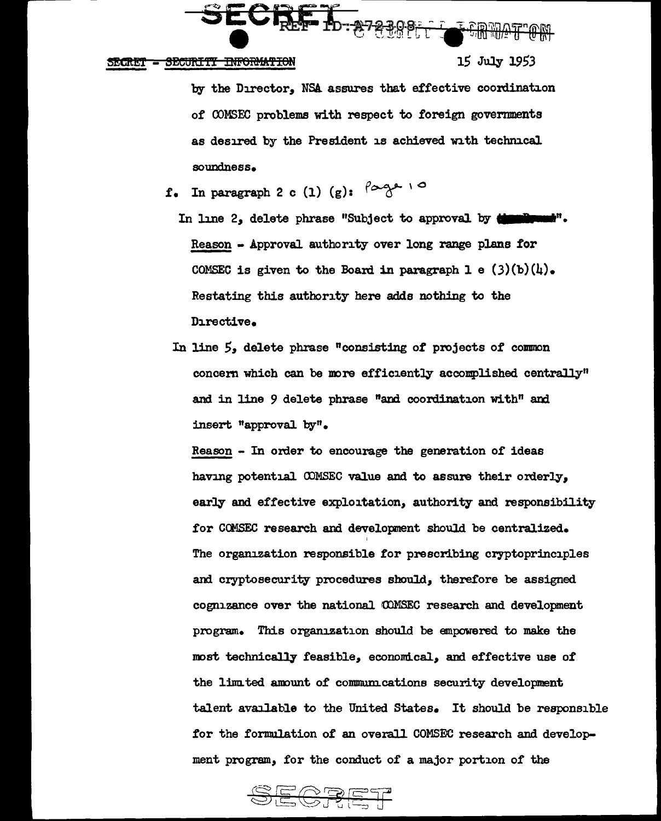

SECRET - SECURITI INFORMATION **15 July 1953** 

by the Director, NSA. assures that effective coordination of COMSEC problems with respect to foreign governments as desired by the President is achieved with technical soundness.

- f. In paragraph 2 c (1)  $(g)$ :  $\int_{0}^{f}$  10
	- In line 2, delete phrase "Subject to approval by **density** Reason - Approval authority over long range plans for COMSEC is given to the Board in paragraph 1 e  $(3)(b)(l)$ . Restating this authority here adds nothing to the Directive•
	- In line *5,* delete phrase "consisting of projects of common concern which can be more efficiently accomplished centrally" and in line 9 delete phrase "and coordination with" and insert "approval. by"•

Reason - In order to encourage the generation of ideas having potential COMSEC value and to assure their orderly, early and effective exploitation, authority and responsibility for CCMSEC research and developnent should be centralized. ' The organization responsible for prescribing cryptoprinciples and cryptosecurity procedures should, there£ore be assigned cognizance over the national COMSEC research and development program. Thie organization should be empowered to make the most technically feasible, economical, and effective use of the limited amount of communications security development talent available to the United States. It should be responsible for the formulation of an overall COMSEC research and development program, for the conduct of a major portion of the

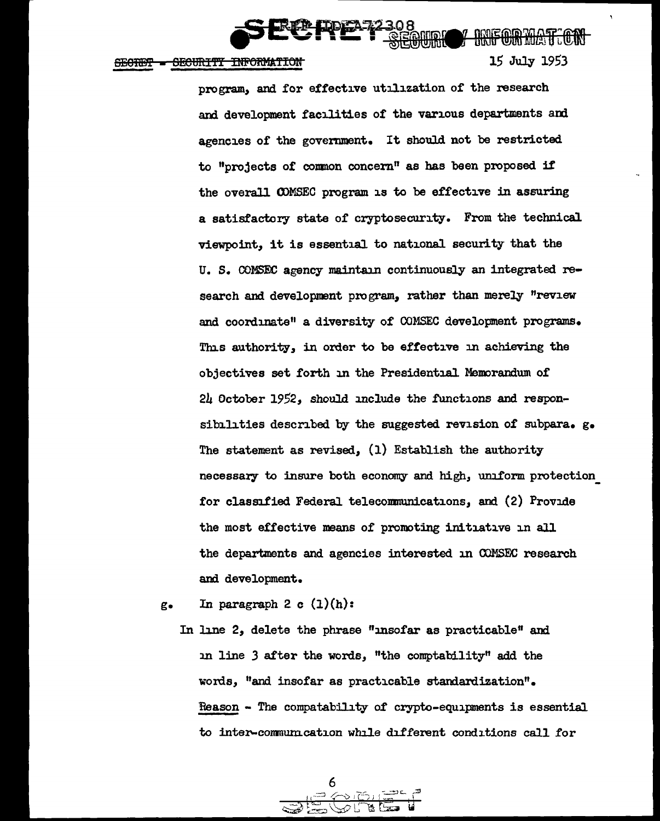

<del>SECURITY INFORMATION</del> **SECTION** 

000fF@0011h2tff :ocmJ 1.5' July 19.5'3

program, and for effective utilization of the research and development facilities of the various departments and agencies of the government. It should not be restricted to "projects of conmon concern" as has been proposed if the overal1 CDMSEC program is to be effective in assuring a satisfactory state of cryptosecurity. From the technical viewpoint, it is essential to national. security that the u. s. OOMSEC agency maintain continuously an integrated research and development program, rather than merely "review and coordinate" a diversity of COMSEC development programs. This authority, in order to be effective m achieving the objectives set forth in the Presidential Memorandum of 24 October 1952, should include the functions and responsibilities described by the suggested revision of subpara.  $g_{\bullet}$ The statement as revised, (1) Establish the authority necessary to insure both economy and high, uniform protection for classified Federal telecommunications, and (2) Provide the most effective means of promoting initiative in all the departments and agencies interested in OOMSEC research and development.

g. In paragraph 2 c  $(1)(h)$ :

In line 2, delete the phrase "insofar as practicable" and :in line *3* after the words, "the comptability" add the words, "and insofar as practicable standardization". Reason - The compatability of crypto-equipments is essential. to inter-commum.cation while different conditions call for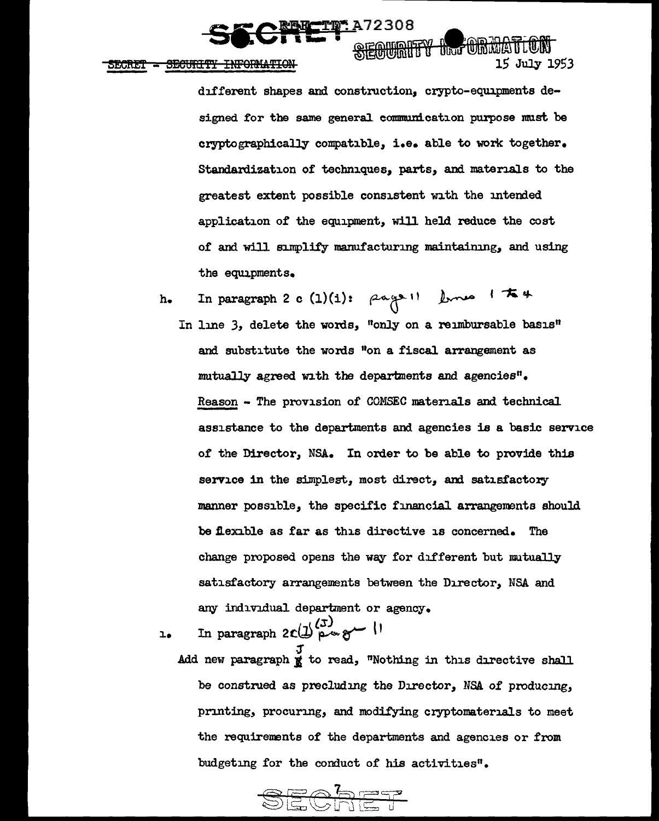**TIP: A72308 TARM A TELEVISION** 

SECURITY INFORMATION **SECRET** 

> different shapes and construction, crypto-equipments designed for the same general communication purpose must be cryptographically compatible, i.e. able to work together. Standardization of techniques, parts, and materials to the greatest extent possible consistent with the intended application of the equipment, will held reduce the cost of and will sumplify manufacturing maintaining, and using the equipments.

**15 July 1953** 

h. In paragraph 2 c  $(1)(i):$   $\beta n (j)$   $\beta$  from  $j \neq j$ In line 3, delete the words, "only on a reimbursable basis" and substitute the words "on a fiscal arrangement as mutually agreed with the departments and agencies". Reason - The provision of COMSEC materials and technical assistance to the departments and agencies is a basic service of the Director, NSA. In order to be able to provide this service in the simplest, most direct, and satisfactory manner possible, the specific financial arrangements should be flexible as far as this directive is concerned. The change proposed opens the way for different but mutually

satisfactory arrangements between the Director, NSA and any individual department or agency.

In paragraph  $2c(\mathcal{D}^{(1)}_{\text{p}})$   $\sim$   $\sim$   $\sim$   $\sim$   $\sim$  $\mathbf{a}$ 

 $\frac{J}{\text{Add new paragraph}}$  to read, "Nothing in this directive shall be construed as precludmg the Director, NSA of producmg, printing, procuring, and modifying cryptomaterials to meet the requirements of the departments and agencies or from budgeting for the conduct of his activities".